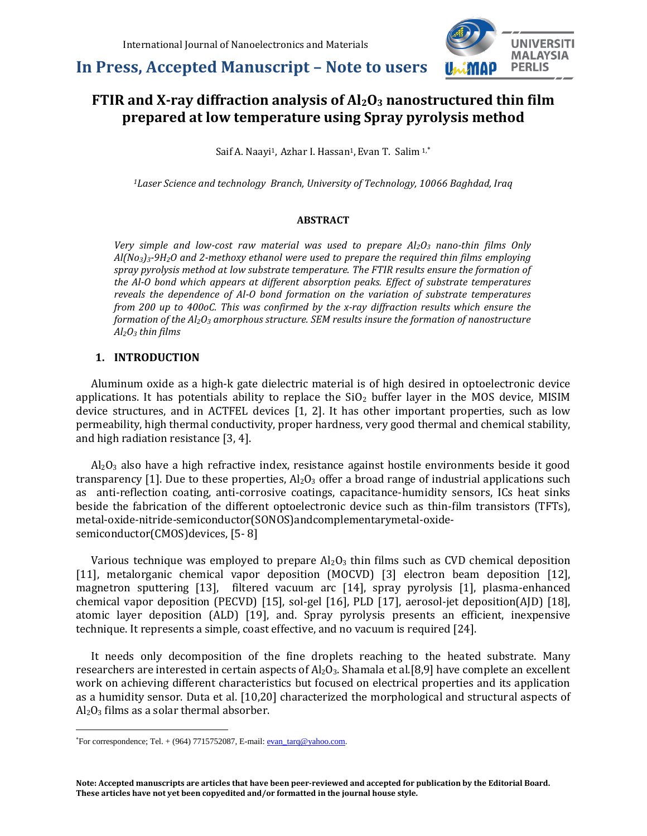

# **FTIR and X-ray diffraction analysis of Al2O<sup>3</sup> nanostructured thin film prepared at low temperature using Spray pyrolysis method**

Saif A. Naayi<sup>1</sup>, Azhar I. Hassan<sup>1</sup>, Evan T. Salim <sup>1,\*</sup>

*<sup>1</sup>Laser Science and technology Branch, University of Technology, 10066 Baghdad, Iraq*

#### **ABSTRACT**

*Very simple and low-cost raw material was used to prepare Al2O<sup>3</sup> nano-thin films Only Al(No3)3-9H2O and 2-methoxy ethanol were used to prepare the required thin films employing spray pyrolysis method at low substrate temperature. The FTIR results ensure the formation of the Al-O bond which appears at different absorption peaks. Effect of substrate temperatures reveals the dependence of Al-O bond formation on the variation of substrate temperatures from 200 up to 400oC. This was confirmed by the x-ray diffraction results which ensure the formation of the Al2O<sup>3</sup> amorphous structure. SEM results insure the formation of nanostructure Al2O<sup>3</sup> thin films*

### **1. INTRODUCTION**

Aluminum oxide as a high-k gate dielectric material is of high desired in optoelectronic device applications. It has potentials ability to replace the  $SiO<sub>2</sub>$  buffer layer in the MOS device, MISIM device structures, and in ACTFEL devices [1, 2]. It has other important properties, such as low permeability, high thermal conductivity, proper hardness, very good thermal and chemical stability, and high radiation resistance [3, 4].

 $Al<sub>2</sub>O<sub>3</sub>$  also have a high refractive index, resistance against hostile environments beside it good transparency [1]. Due to these properties,  $Al_2O_3$  offer a broad range of industrial applications such as anti-reflection coating, anti-corrosive coatings, capacitance-humidity sensors, ICs heat sinks beside the fabrication of the different optoelectronic device such as thin-film transistors (TFTs), metal-oxide-nitride-semiconductor(SONOS)andcomplementarymetal-oxidesemiconductor(CMOS)devices, [5- 8]

Various technique was employed to prepare  $Al_2O_3$  thin films such as CVD chemical deposition [11], metalorganic chemical vapor deposition (MOCVD) [3] electron beam deposition [12], magnetron sputtering [13], filtered vacuum arc [14], spray pyrolysis [1], plasma-enhanced chemical vapor deposition (PECVD) [15], sol-gel [16], PLD [17], aerosol-jet deposition(AJD) [18], atomic layer deposition (ALD) [19], and. Spray pyrolysis presents an efficient, inexpensive technique. It represents a simple, coast effective, and no vacuum is required [24].

It needs only decomposition of the fine droplets reaching to the heated substrate. Many researchers are interested in certain aspects of  $Al_2O_3$ . Shamala et al.[8,9] have complete an excellent work on achieving different characteristics but focused on electrical properties and its application as a humidity sensor. Duta et al. [10,20] characterized the morphological and structural aspects of  $Al_2O_3$  films as a solar thermal absorber.

 $\overline{a}$ 

For correspondence; Tel.  $+$  (964) 7715752087, E-mail:  $evan_t \cdot \arctan(\omega ya hoo.com)$ .</u>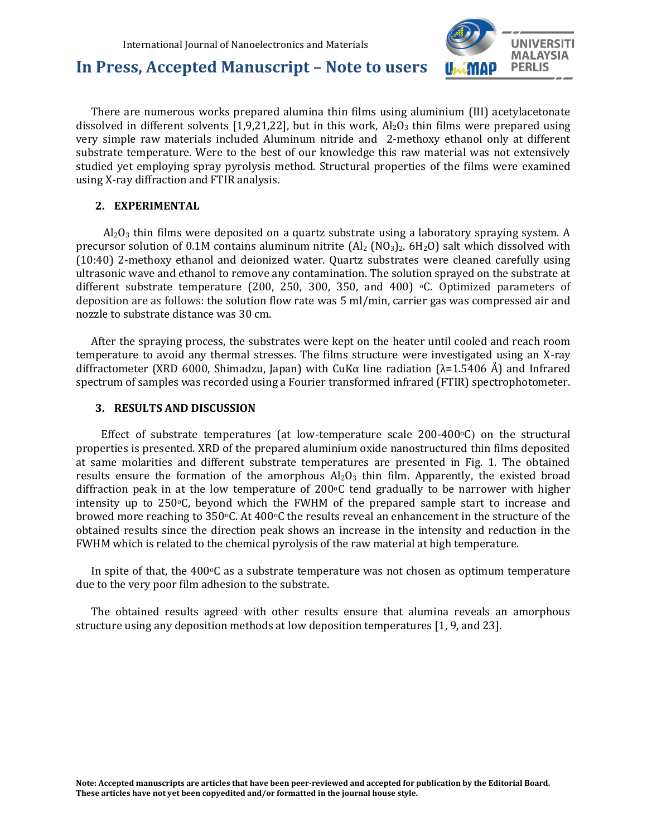

There are numerous works prepared alumina thin films using aluminium (III) acetylacetonate dissolved in different solvents [1,9,21,22], but in this work,  $Al_2O_3$  thin films were prepared using very simple raw materials included Aluminum nitride and 2-methoxy ethanol only at different substrate temperature. Were to the best of our knowledge this raw material was not extensively studied yet employing spray pyrolysis method. Structural properties of the films were examined using X-ray diffraction and FTIR analysis.

#### **2. EXPERIMENTAL**

 $Al_2O_3$  thin films were deposited on a quartz substrate using a laboratory spraying system. A precursor solution of 0.1M contains aluminum nitrite  $\text{(Al}_2 \text{ (NO}_3)\text{)}_2$ . 6H<sub>2</sub>O) salt which dissolved with (10:40) 2-methoxy ethanol and deionized water. Quartz substrates were cleaned carefully using ultrasonic wave and ethanol to remove any contamination. The solution sprayed on the substrate at different substrate temperature (200, 250, 300, 350, and 400)  $\degree$ C. Optimized parameters of deposition are as follows: the solution flow rate was 5 ml/min, carrier gas was compressed air and nozzle to substrate distance was 30 cm.

After the spraying process, the substrates were kept on the heater until cooled and reach room temperature to avoid any thermal stresses. The films structure were investigated using an X-ray diffractometer (XRD 6000, Shimadzu, Japan) with CuKα line radiation ( $λ=1.5406$  Å) and Infrared spectrum of samples was recorded using a Fourier transformed infrared (FTIR) spectrophotometer.

#### **3. RESULTS AND DISCUSSION**

Effect of substrate temperatures (at low-temperature scale  $200-400$ °C) on the structural properties is presented. XRD of the prepared aluminium oxide nanostructured thin films deposited at same molarities and different substrate temperatures are presented in Fig. 1. The obtained results ensure the formation of the amorphous  $Al_2O_3$  thin film. Apparently, the existed broad diffraction peak in at the low temperature of 200 $\degree$ C tend gradually to be narrower with higher intensity up to  $250^{\circ}$ C, beyond which the FWHM of the prepared sample start to increase and browed more reaching to 350°C. At 400°C the results reveal an enhancement in the structure of the obtained results since the direction peak shows an increase in the intensity and reduction in the FWHM which is related to the chemical pyrolysis of the raw material at high temperature.

In spite of that, the  $400\degree$ C as a substrate temperature was not chosen as optimum temperature due to the very poor film adhesion to the substrate.

The obtained results agreed with other results ensure that alumina reveals an amorphous structure using any deposition methods at low deposition temperatures [1, 9, and 23].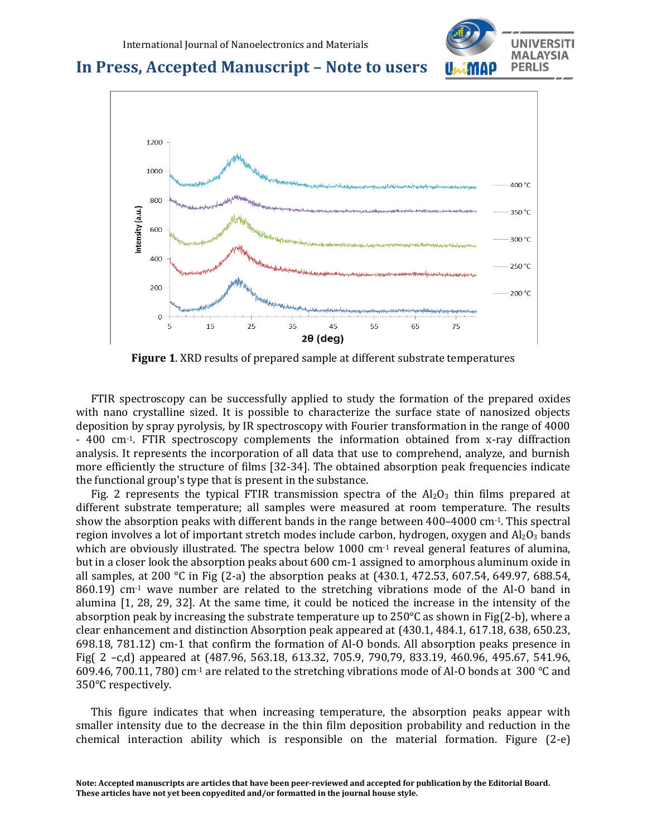



**Figure 1**. XRD results of prepared sample at different substrate temperatures

FTIR spectroscopy can be successfully applied to study the formation of the prepared oxides with nano crystalline sized. It is possible to characterize the surface state of nanosized objects deposition by spray pyrolysis, by IR spectroscopy with Fourier transformation in the range of 4000 - 400 cm-1. FTIR spectroscopy complements the information obtained from x-ray diffraction analysis. It represents the incorporation of all data that use to comprehend, analyze, and burnish more efficiently the structure of films [32-34]. The obtained absorption peak frequencies indicate the functional group's type that is present in the substance.

Fig. 2 represents the typical FTIR transmission spectra of the  $Al_2O_3$  thin films prepared at different substrate temperature; all samples were measured at room temperature. The results show the absorption peaks with different bands in the range between 400–4000 cm-1. This spectral region involves a lot of important stretch modes include carbon, hydrogen, oxygen and  $Al_2O_3$  bands which are obviously illustrated. The spectra below 1000  $cm<sup>-1</sup>$  reveal general features of alumina, but in a closer look the absorption peaks about 600 cm-1 assigned to amorphous aluminum oxide in all samples, at 200 °C in Fig (2-a) the absorption peaks at (430.1, 472.53, 607.54, 649.97, 688.54, 860.19) cm-1 wave number are related to the stretching vibrations mode of the Al-O band in alumina [1, 28, 29, 32]. At the same time, it could be noticed the increase in the intensity of the absorption peak by increasing the substrate temperature up to  $250^{\circ}$ C as shown in Fig(2-b), where a clear enhancement and distinction Absorption peak appeared at (430.1, 484.1, 617.18, 638, 650.23, 698.18, 781.12) cm-1 that confirm the formation of Al-O bonds. All absorption peaks presence in Fig( 2 –c,d) appeared at (487.96, 563.18, 613.32, 705.9, 790,79, 833.19, 460.96, 495.67, 541.96, 609.46, 700.11, 780) cm-1 are related to the stretching vibrations mode of Al-O bonds at 300 °C and 350°C respectively.

This figure indicates that when increasing temperature, the absorption peaks appear with smaller intensity due to the decrease in the thin film deposition probability and reduction in the chemical interaction ability which is responsible on the material formation. Figure (2-e)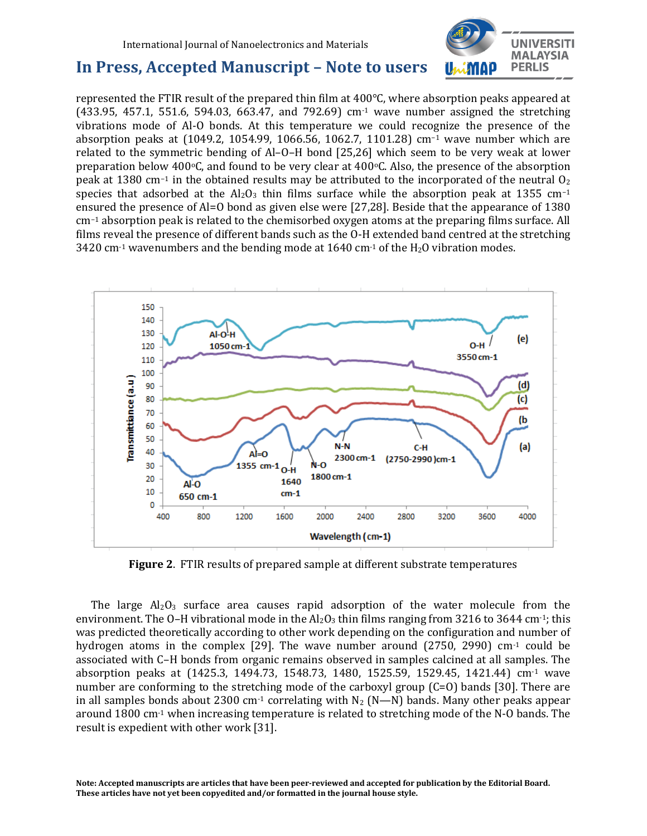

represented the FTIR result of the prepared thin film at 400°C, where absorption peaks appeared at (433.95, 457.1, 551.6, 594.03, 663.47, and 792.69) cm-1 wave number assigned the stretching vibrations mode of Al-O bonds. At this temperature we could recognize the presence of the absorption peaks at (1049.2, 1054.99, 1066.56, 1062.7, 1101.28) cm−1 wave number which are related to the symmetric bending of Al–O–H bond [25,26] which seem to be very weak at lower preparation below 400 $\degree$ C, and found to be very clear at 400 $\degree$ C. Also, the presence of the absorption peak at 1380 cm<sup>-1</sup> in the obtained results may be attributed to the incorporated of the neutral  $0_2$ species that adsorbed at the  $Al_2O_3$  thin films surface while the absorption peak at 1355 cm<sup>-1</sup> ensured the presence of Al=O bond as given else were [27,28]. Beside that the appearance of 1380 cm−1 absorption peak is related to the chemisorbed oxygen atoms at the preparing films surface. All films reveal the presence of different bands such as the O-H extended band centred at the stretching 3420 cm<sup>-1</sup> wavenumbers and the bending mode at 1640 cm<sup>-1</sup> of the H<sub>2</sub>O vibration modes.



**Figure 2**. FTIR results of prepared sample at different substrate temperatures

The large  $Al_2O_3$  surface area causes rapid adsorption of the water molecule from the environment. The O–H vibrational mode in the  $Al_2O_3$  thin films ranging from 3216 to 3644 cm<sup>-1</sup>; this was predicted theoretically according to other work depending on the configuration and number of hydrogen atoms in the complex [29]. The wave number around  $(2750, 2990)$  cm<sup>-1</sup> could be associated with C–H bonds from organic remains observed in samples calcined at all samples. The absorption peaks at (1425.3, 1494.73, 1548.73, 1480, 1525.59, 1529.45, 1421.44) cm-1 wave number are conforming to the stretching mode of the carboxyl group (C=O) bands [30]. There are in all samples bonds about 2300 cm<sup>-1</sup> correlating with  $N_2$  (N—N) bands. Many other peaks appear around 1800 cm-1 when increasing temperature is related to stretching mode of the N-O bands. The result is expedient with other work [31].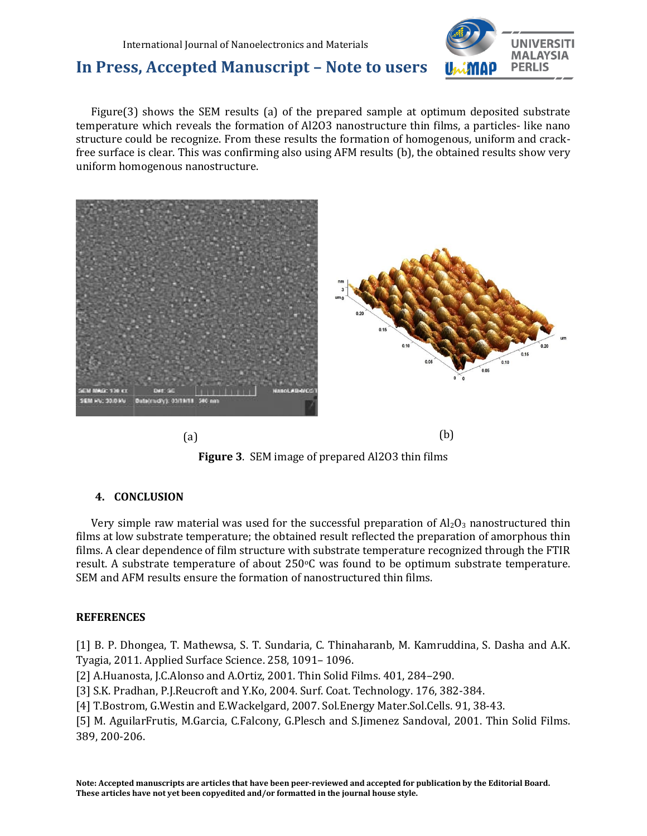

Figure(3) shows the SEM results (a) of the prepared sample at optimum deposited substrate temperature which reveals the formation of Al2O3 nanostructure thin films, a particles- like nano structure could be recognize. From these results the formation of homogenous, uniform and crackfree surface is clear. This was confirming also using AFM results (b), the obtained results show very uniform homogenous nanostructure.



**Figure 3**. SEM image of prepared Al2O3 thin films

### **4. CONCLUSION**

Very simple raw material was used for the successful preparation of  $Al_2O_3$  nanostructured thin films at low substrate temperature; the obtained result reflected the preparation of amorphous thin films. A clear dependence of film structure with substrate temperature recognized through the FTIR result. A substrate temperature of about  $250^{\circ}$ C was found to be optimum substrate temperature. SEM and AFM results ensure the formation of nanostructured thin films.

#### **REFERENCES**

[1] B. P. Dhongea, T. Mathewsa, S. T. Sundaria, C. Thinaharanb, M. Kamruddina, S. Dasha and A.K. Tyagia, 2011. Applied Surface Science. 258, 1091– 1096.

[2] A.Huanosta, J.C.Alonso and A.Ortiz, 2001. Thin Solid Films. 401, 284–290.

[3] S.K. Pradhan, P.J.Reucroft and Y.Ko, 2004. Surf. Coat. Technology. 176, 382-384.

[4] T.Bostrom, G.Westin and E.Wackelgard, 2007. Sol.Energy Mater.Sol.Cells. 91, 38-43.

[5] M. AguilarFrutis, M.Garcia, C.Falcony, G.Plesch and S.Jimenez Sandoval, 2001. Thin Solid Films. 389, 200-206.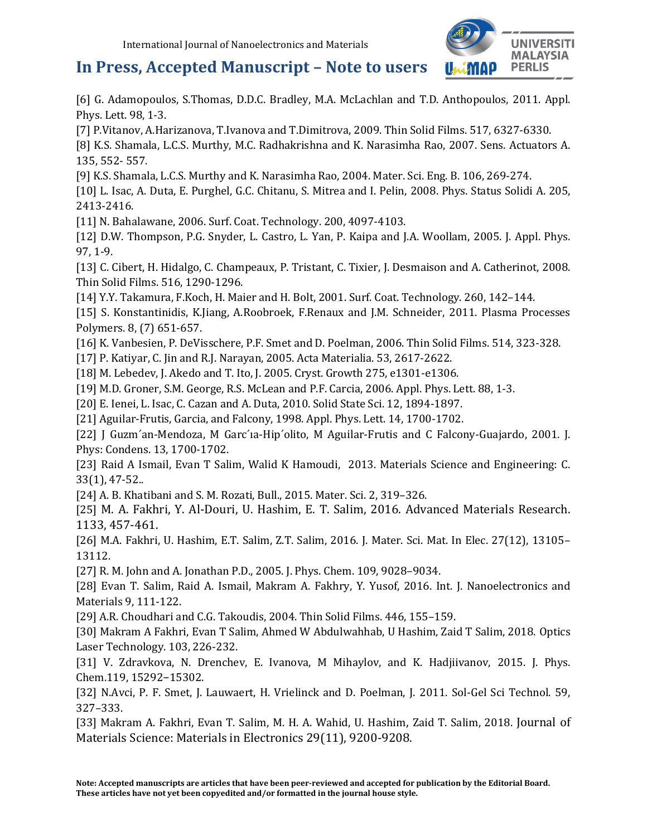

[6] G. Adamopoulos, S.Thomas, D.D.C. Bradley, M.A. McLachlan and T.D. Anthopoulos, 2011. Appl. Phys. Lett. 98, 1-3.

[7] P.Vitanov, A.Harizanova, T.Ivanova and T.Dimitrova, 2009. Thin Solid Films. 517, 6327-6330.

[8] K.S. Shamala, L.C.S. Murthy, M.C. Radhakrishna and K. Narasimha Rao, 2007. Sens. Actuators A. 135, 552- 557.

[9] K.S. Shamala, L.C.S. Murthy and K. Narasimha Rao, 2004. Mater. Sci. Eng. B. 106, 269-274.

[10] L. Isac, A. Duta, E. Purghel, G.C. Chitanu, S. Mitrea and I. Pelin, 2008. Phys. Status Solidi A. 205, 2413-2416.

[11] N. Bahalawane, 2006. Surf. Coat. Technology. 200, 4097-4103.

[12] D.W. Thompson, P.G. Snyder, L. Castro, L. Yan, P. Kaipa and J.A. Woollam, 2005. J. Appl. Phys. 97, 1-9.

[13] C. Cibert, H. Hidalgo, C. Champeaux, P. Tristant, C. Tixier, J. Desmaison and A. Catherinot, 2008. Thin Solid Films. 516, 1290-1296.

[14] Y.Y. Takamura, F.Koch, H. Maier and H. Bolt, 2001. Surf. Coat. Technology. 260, 142–144.

[15] S. Konstantinidis, K.Jiang, A.Roobroek, F.Renaux and J.M. Schneider, 2011. Plasma Processes Polymers. 8, (7) 651-657.

[16] K. Vanbesien, P. DeVisschere, P.F. Smet and D. Poelman, 2006. Thin Solid Films. 514, 323-328.

[17] P. Katiyar, C. Jin and R.J. Narayan, 2005. Acta Materialia. 53, 2617-2622.

[18] M. Lebedev, J. Akedo and T. Ito, J. 2005. Cryst. Growth 275, e1301-e1306.

[19] M.D. Groner, S.M. George, R.S. McLean and P.F. Carcia, 2006. Appl. Phys. Lett. 88, 1-3.

[20] E. Ienei, L. Isac, C. Cazan and A. Duta, 2010. Solid State Sci. 12, 1894-1897.

[21] Aguilar-Frutis, Garcia, and Falcony, 1998. Appl. Phys. Lett. 14, 1700-1702.

[22] J Guzm´an-Mendoza, M Garc´ia-Hip´olito, M Aguilar-Frutis and C Falcony-Guajardo, 2001. J. Phys: Condens. 13, 1700-1702.

[23] Raid A Ismail, Evan T Salim, Walid K Hamoudi, 2013. Materials Science and Engineering: C. 33(1), 47-52..

[24] A. B. Khatibani and S. M. Rozati, Bull., 2015. Mater. Sci. 2, 319–326.

[25] M. A. Fakhri, Y. Al-Douri, U. Hashim, E. T. Salim, 2016. Advanced Materials Research. 1133, 457-461.

[26] M.A. Fakhri, U. Hashim, E.T. Salim, Z.T. Salim, 2016. J. Mater. Sci. Mat. In Elec. 27(12), 13105– 13112.

[27] R. M. John and A. Jonathan P.D., 2005. J. Phys. Chem. 109, 9028–9034.

[28] Evan T. Salim, Raid A. Ismail, Makram A. Fakhry, Y. Yusof, 2016. Int. J. Nanoelectronics and Materials 9, 111-122.

[29] A.R. Choudhari and C.G. Takoudis, 2004. Thin Solid Films. 446, 155–159.

[30] Makram A Fakhri, Evan T Salim, Ahmed W Abdulwahhab, U Hashim, Zaid T Salim, 2018. Optics Laser Technology. 103, 226-232.

[31] V. Zdravkova, N. Drenchev, E. Ivanova, M Mihaylov, and K. Hadjiivanov, 2015. J. Phys. Chem.119, 15292−15302.

[32] N.Avci, P. F. Smet, J. Lauwaert, H. Vrielinck and D. Poelman, J. 2011. Sol-Gel Sci Technol. 59, 327–333.

[33] Makram A. Fakhri, Evan T. Salim, M. H. A. Wahid, U. Hashim, Zaid T. Salim, 2018. Journal of Materials Science: Materials in Electronics 29(11), 9200-9208.